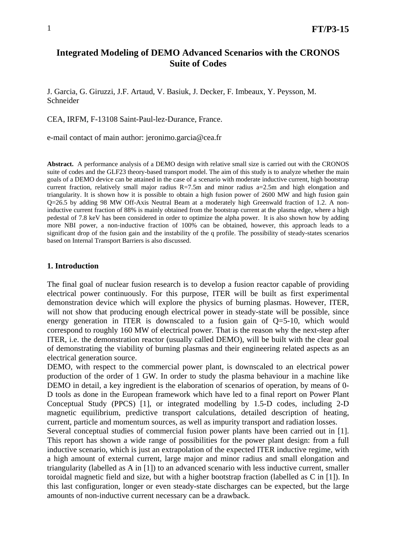# **Integrated Modeling of DEMO Advanced Scenarios with the CRONOS Suite of Codes**

J. Garcia, G. Giruzzi, J.F. Artaud, V. Basiuk, J. Decker, F. Imbeaux, Y. Peysson, M. Schneider

CEA, IRFM, F-13108 Saint-Paul-lez-Durance, France.

e-mail contact of main author: jeronimo.garcia@cea.fr

**Abstract.** A performance analysis of a DEMO design with relative small size is carried out with the CRONOS suite of codes and the GLF23 theory-based transport model. The aim of this study is to analyze whether the main goals of a DEMO device can be attained in the case of a scenario with moderate inductive current, high bootstrap current fraction, relatively small major radius R=7.5m and minor radius a=2.5m and high elongation and triangularity. It is shown how it is possible to obtain a high fusion power of 2600 MW and high fusion gain Q=26.5 by adding 98 MW Off-Axis Neutral Beam at a moderately high Greenwald fraction of 1.2. A noninductive current fraction of 88% is mainly obtained from the bootstrap current at the plasma edge, where a high pedestal of 7.8 keV has been considered in order to optimize the alpha power. It is also shown how by adding more NBI power, a non-inductive fraction of 100% can be obtained, however, this approach leads to a significant drop of the fusion gain and the instability of the q profile. The possibility of steady-states scenarios based on Internal Transport Barriers is also discussed.

# **1. Introduction**

The final goal of nuclear fusion research is to develop a fusion reactor capable of providing electrical power continuously. For this purpose, ITER will be built as first experimental demonstration device which will explore the physics of burning plasmas. However, ITER, will not show that producing enough electrical power in steady-state will be possible, since energy generation in ITER is downscaled to a fusion gain of  $Q=5-10$ , which would correspond to roughly 160 MW of electrical power. That is the reason why the next-step after ITER, i.e. the demonstration reactor (usually called DEMO), will be built with the clear goal of demonstrating the viability of burning plasmas and their engineering related aspects as an electrical generation source.

DEMO, with respect to the commercial power plant, is downscaled to an electrical power production of the order of 1 GW. In order to study the plasma behaviour in a machine like DEMO in detail, a key ingredient is the elaboration of scenarios of operation, by means of 0- D tools as done in the European framework which have led to a final report on Power Plant Conceptual Study (PPCS) [1], or integrated modelling by 1.5-D codes, including 2-D magnetic equilibrium, predictive transport calculations, detailed description of heating, current, particle and momentum sources, as well as impurity transport and radiation losses.

Several conceptual studies of commercial fusion power plants have been carried out in [1]. This report has shown a wide range of possibilities for the power plant design: from a full inductive scenario, which is just an extrapolation of the expected ITER inductive regime, with a high amount of external current, large major and minor radius and small elongation and triangularity (labelled as A in [1]) to an advanced scenario with less inductive current, smaller toroidal magnetic field and size, but with a higher bootstrap fraction (labelled as C in [1]). In this last configuration, longer or even steady-state discharges can be expected, but the large amounts of non-inductive current necessary can be a drawback.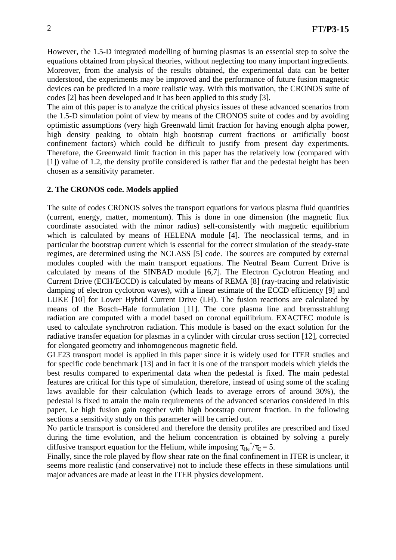However, the 1.5-D integrated modelling of burning plasmas is an essential step to solve the equations obtained from physical theories, without neglecting too many important ingredients. Moreover, from the analysis of the results obtained, the experimental data can be better understood, the experiments may be improved and the performance of future fusion magnetic devices can be predicted in a more realistic way. With this motivation, the CRONOS suite of codes [2] has been developed and it has been applied to this study [3].

The aim of this paper is to analyze the critical physics issues of these advanced scenarios from the 1.5-D simulation point of view by means of the CRONOS suite of codes and by avoiding optimistic assumptions (very high Greenwald limit fraction for having enough alpha power, high density peaking to obtain high bootstrap current fractions or artificially boost confinement factors) which could be difficult to justify from present day experiments. Therefore, the Greenwald limit fraction in this paper has the relatively low (compared with [1]) value of 1.2, the density profile considered is rather flat and the pedestal height has been chosen as a sensitivity parameter.

# **2. The CRONOS code. Models applied**

The suite of codes CRONOS solves the transport equations for various plasma fluid quantities (current, energy, matter, momentum). This is done in one dimension (the magnetic flux coordinate associated with the minor radius) self-consistently with magnetic equilibrium which is calculated by means of HELENA module [4]. The neoclassical terms, and in particular the bootstrap current which is essential for the correct simulation of the steady-state regimes, are determined using the NCLASS [5] code. The sources are computed by external modules coupled with the main transport equations. The Neutral Beam Current Drive is calculated by means of the SINBAD module [6,7]. The Electron Cyclotron Heating and Current Drive (ECH/ECCD) is calculated by means of REMA [8] (ray-tracing and relativistic damping of electron cyclotron waves), with a linear estimate of the ECCD efficiency [9] and LUKE [10] for Lower Hybrid Current Drive (LH). The fusion reactions are calculated by means of the Bosch–Hale formulation [11]. The core plasma line and bremsstrahlung radiation are computed with a model based on coronal equilibrium. EXACTEC module is used to calculate synchrotron radiation. This module is based on the exact solution for the radiative transfer equation for plasmas in a cylinder with circular cross section [12], corrected for elongated geometry and inhomogeneous magnetic field.

GLF23 transport model is applied in this paper since it is widely used for ITER studies and for specific code benchmark [13] and in fact it is one of the transport models which yields the best results compared to experimental data when the pedestal is fixed. The main pedestal features are critical for this type of simulation, therefore, instead of using some of the scaling laws available for their calculation (which leads to average errors of around 30%), the pedestal is fixed to attain the main requirements of the advanced scenarios considered in this paper, i.e high fusion gain together with high bootstrap current fraction. In the following sections a sensitivity study on this parameter will be carried out.

No particle transport is considered and therefore the density profiles are prescribed and fixed during the time evolution, and the helium concentration is obtained by solving a purely diffusive transport equation for the Helium, while imposing  $\tau_{He}^* / \tau_E = 5$ .

Finally, since the role played by flow shear rate on the final confinement in ITER is unclear, it seems more realistic (and conservative) not to include these effects in these simulations until major advances are made at least in the ITER physics development.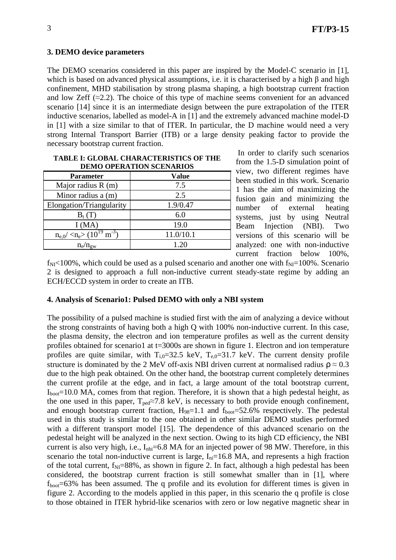# **3. DEMO device parameters**

The DEMO scenarios considered in this paper are inspired by the Model-C scenario in [1], which is based on advanced physical assumptions, i.e. it is characterised by a high β and high confinement, MHD stabilisation by strong plasma shaping, a high bootstrap current fraction and low Zeff  $(\approx 2.2)$ . The choice of this type of machine seems convenient for an advanced scenario [14] since it is an intermediate design between the pure extrapolation of the ITER inductive scenarios, labelled as model-A in [1] and the extremely advanced machine model-D in [1] with a size similar to that of ITER. In particular, the D machine would need a very strong Internal Transport Barrier (ITB) or a large density peaking factor to provide the necessary bootstrap current fraction.

| DEMO OF ERATION SCENARIOS                                         |           |
|-------------------------------------------------------------------|-----------|
| <b>Parameter</b>                                                  | Value     |
| Major radius $R(m)$                                               | 7.5       |
| Minor radius a (m)                                                | 2.5       |
| Elongation/Triangularity                                          | 1.9/0.47  |
| $B_t(T)$                                                          | 6.0       |
| I(MA)                                                             | 19.0      |
| $n_{e,0}$ / <n<sub>e&gt; (10<sup>19</sup> m<sup>-3</sup>)</n<sub> | 11.0/10.1 |
|                                                                   | 1.20      |

#### **TABLE I: GLOBAL CHARACTERISTICS OF THE DEMO OPERATION SCENARIOS**

 In order to clarify such scenarios from the 1.5-D simulation point of view, two different regimes have been studied in this work. Scenario 1 has the aim of maximizing the fusion gain and minimizing the number of external heating systems, just by using Neutral Beam Injection (NBI). Two versions of this scenario will be analyzed: one with non-inductive current fraction below 100%,

 $f_{\text{NI}}$ <100%, which could be used as a pulsed scenario and another one with  $f_{\text{NI}}$ =100%. Scenario 2 is designed to approach a full non-inductive current steady-state regime by adding an ECH/ECCD system in order to create an ITB.

# **4. Analysis of Scenario1: Pulsed DEMO with only a NBI system**

The possibility of a pulsed machine is studied first with the aim of analyzing a device without the strong constraints of having both a high Q with 100% non-inductive current. In this case, the plasma density, the electron and ion temperature profiles as well as the current density profiles obtained for scenario1 at t=3000s are shown in figure 1. Electron and ion temperature profiles are quite similar, with  $T_{i,0}=32.5$  keV,  $T_{e,0}=31.7$  keV. The current density profile structure is dominated by the 2 MeV off-axis NBI driven current at normalised radius  $\rho \approx 0.3$ due to the high peak obtained. On the other hand, the bootstrap current completely determines the current profile at the edge, and in fact, a large amount of the total bootstrap current,  $I_{boot}$ =10.0 MA, comes from that region. Therefore, it is shown that a high pedestal height, as the one used in this paper,  $T_{ped} \approx 7.8$  keV, is necessary to both provide enough confinement, and enough bootstrap current fraction,  $H_{98}=1.1$  and  $f_{boot}=52.6\%$  respectively. The pedestal used in this study is similar to the one obtained in other similar DEMO studies performed with a different transport model [15]. The dependence of this advanced scenario on the pedestal height will be analyzed in the next section. Owing to its high CD efficiency, the NBI current is also very high, i.e.,  $I_{\text{nbi}}=6.8$  MA for an injected power of 98 MW. Therefore, in this scenario the total non-inductive current is large,  $I_{ni}=16.8$  MA, and represents a high fraction of the total current,  $f_{\text{NI}}=88\%$ , as shown in figure 2. In fact, although a high pedestal has been considered, the bootstrap current fraction is still somewhat smaller than in [1], where  $f_{\text{boot}} = 63\%$  has been assumed. The q profile and its evolution for different times is given in figure 2. According to the models applied in this paper, in this scenario the q profile is close to those obtained in ITER hybrid-like scenarios with zero or low negative magnetic shear in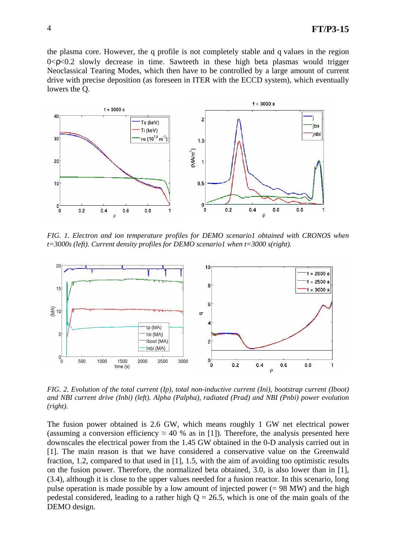the plasma core. However, the q profile is not completely stable and q values in the region  $0 < \rho < 0.2$  slowly decrease in time. Sawteeth in these high beta plasmas would trigger Neoclassical Tearing Modes, which then have to be controlled by a large amount of current drive with precise deposition (as foreseen in ITER with the ECCD system), which eventually lowers the Q.



*FIG. 1. Electron and ion temperature profiles for DEMO scenario1 obtained with CRONOS when t=3000s (left). Current density profiles for DEMO scenario1 when t=3000 s(right).* 



*FIG. 2. Evolution of the total current (Ip), total non-inductive current (Ini), bootstrap current (Iboot) and NBI current drive (Inbi) (left). Alpha (Palpha), radiated (Prad) and NBI (Pnbi) power evolution (right).*

The fusion power obtained is 2.6 GW, which means roughly 1 GW net electrical power (assuming a conversion efficiency  $\approx 40$  % as in [1]). Therefore, the analysis presented here downscales the electrical power from the 1.45 GW obtained in the 0-D analysis carried out in [1]. The main reason is that we have considered a conservative value on the Greenwald fraction, 1.2, compared to that used in [1], 1.5, with the aim of avoiding too optimistic results on the fusion power. Therefore, the normalized beta obtained, 3.0, is also lower than in [1], (3.4), although it is close to the upper values needed for a fusion reactor. In this scenario, long pulse operation is made possible by a low amount of injected power  $(= 98 \text{ MW})$  and the high pedestal considered, leading to a rather high  $Q = 26.5$ , which is one of the main goals of the DEMO design.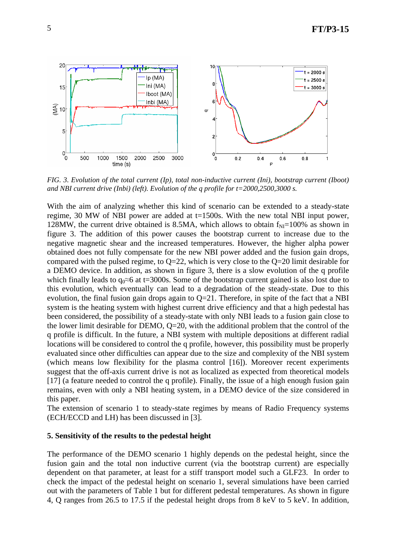

*FIG. 3. Evolution of the total current (Ip), total non-inductive current (Ini), bootstrap current (Iboot) and NBI current drive (Inbi) (left). Evolution of the q profile for t=2000,2500,3000 s.* 

With the aim of analyzing whether this kind of scenario can be extended to a steady-state regime, 30 MW of NBI power are added at t=1500s. With the new total NBI input power, 128MW, the current drive obtained is 8.5MA, which allows to obtain  $f_{NI}=100\%$  as shown in figure 3. The addition of this power causes the bootstrap current to increase due to the negative magnetic shear and the increased temperatures. However, the higher alpha power obtained does not fully compensate for the new NBI power added and the fusion gain drops, compared with the pulsed regime, to Q=22, which is very close to the Q=20 limit desirable for a DEMO device. In addition, as shown in figure 3, there is a slow evolution of the q profile which finally leads to  $q_0 \approx 6$  at t=3000s. Some of the bootstrap current gained is also lost due to this evolution, which eventually can lead to a degradation of the steady-state. Due to this evolution, the final fusion gain drops again to  $Q=21$ . Therefore, in spite of the fact that a NBI system is the heating system with highest current drive efficiency and that a high pedestal has been considered, the possibility of a steady-state with only NBI leads to a fusion gain close to the lower limit desirable for DEMO, Q=20, with the additional problem that the control of the q profile is difficult. In the future, a NBI system with multiple depositions at different radial locations will be considered to control the q profile, however, this possibility must be properly evaluated since other difficulties can appear due to the size and complexity of the NBI system (which means low flexibility for the plasma control [16]). Moreover recent experiments suggest that the off-axis current drive is not as localized as expected from theoretical models [17] (a feature needed to control the q profile). Finally, the issue of a high enough fusion gain remains, even with only a NBI heating system, in a DEMO device of the size considered in this paper.

The extension of scenario 1 to steady-state regimes by means of Radio Frequency systems (ECH/ECCD and LH) has been discussed in [3].

#### **5. Sensitivity of the results to the pedestal height**

The performance of the DEMO scenario 1 highly depends on the pedestal height, since the fusion gain and the total non inductive current (via the bootstrap current) are especially dependent on that parameter, at least for a stiff transport model such a GLF23. In order to check the impact of the pedestal height on scenario 1, several simulations have been carried out with the parameters of Table 1 but for different pedestal temperatures. As shown in figure 4, Q ranges from 26.5 to 17.5 if the pedestal height drops from 8 keV to 5 keV. In addition,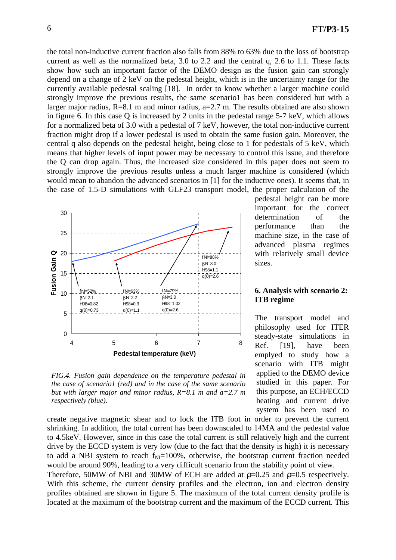the total non-inductive current fraction also falls from 88% to 63% due to the loss of bootstrap current as well as the normalized beta, 3.0 to 2.2 and the central q, 2.6 to 1.1. These facts show how such an important factor of the DEMO design as the fusion gain can strongly depend on a change of 2 keV on the pedestal height, which is in the uncertainty range for the currently available pedestal scaling [18]. In order to know whether a larger machine could strongly improve the previous results, the same scenario1 has been considered but with a larger major radius, R=8.1 m and minor radius, a=2.7 m. The results obtained are also shown in figure 6. In this case Q is increased by 2 units in the pedestal range 5-7 keV, which allows for a normalized beta of 3.0 with a pedestal of 7 keV, however, the total non-inductive current fraction might drop if a lower pedestal is used to obtain the same fusion gain. Moreover, the central q also depends on the pedestal height, being close to 1 for pedestals of 5 keV, which means that higher levels of input power may be necessary to control this issue, and therefore the Q can drop again. Thus, the increased size considered in this paper does not seem to strongly improve the previous results unless a much larger machine is considered (which would mean to abandon the advanced scenarios in [1] for the inductive ones). It seems that, in the case of 1.5-D simulations with GLF23 transport model, the proper calculation of the



*FIG.4. Fusion gain dependence on the temperature pedestal in the case of scenario1 (red) and in the case of the same scenario but with larger major and minor radius, R=8.1 m and a=2.7 m respectively (blue).*

pedestal height can be more important for the correct determination of the performance than the machine size, in the case of advanced plasma regimes with relatively small device sizes.

#### **6. Analysis with scenario 2: ITB regime**

The transport model and philosophy used for ITER steady-state simulations in Ref. [19], have been emplyed to study how a scenario with ITB might applied to the DEMO device studied in this paper. For this purpose, an ECH/ECCD heating and current drive system has been used to

create negative magnetic shear and to lock the ITB foot in order to prevent the current shrinking. In addition, the total current has been downscaled to 14MA and the pedestal value to 4.5keV. However, since in this case the total current is still relatively high and the current drive by the ECCD system is very low (due to the fact that the density is high) it is necessary to add a NBI system to reach  $f_{NI}=100\%$ , otherwise, the bootstrap current fraction needed would be around 90%, leading to a very difficult scenario from the stability point of view.

Therefore, 50MW of NBI and 30MW of ECH are added at  $p=0.25$  and  $p=0.5$  respectively. With this scheme, the current density profiles and the electron, ion and electron density profiles obtained are shown in figure 5. The maximum of the total current density profile is located at the maximum of the bootstrap current and the maximum of the ECCD current. This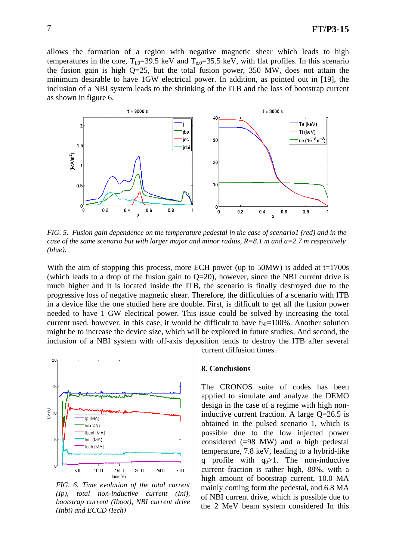allows the formation of a region with negative magnetic shear which leads to high temperatures in the core,  $T_{i,0}=39.5$  keV and  $T_{e,0}=35.5$  keV, with flat profiles. In this scenario the fusion gain is high Q=25, but the total fusion power, 350 MW, does not attain the minimum desirable to have 1GW electrical power. In addition, as pointed out in [19], the inclusion of a NBI system leads to the shrinking of the ITB and the loss of bootstrap current as shown in figure 6.



*FIG. 5. Fusion gain dependence on the temperature pedestal in the case of scenario1 (red) and in the case of the same scenario but with larger major and minor radius, R=8.1 m and a=2.7 m respectively (blue).*

With the aim of stopping this process, more ECH power (up to 50MW) is added at t=1700s (which leads to a drop of the fusion gain to  $Q=20$ ), however, since the NBI current drive is much higher and it is located inside the ITB, the scenario is finally destroyed due to the progressive loss of negative magnetic shear. Therefore, the difficulties of a scenario with ITB in a device like the one studied here are double. First, is difficult to get all the fusion power needed to have 1 GW electrical power. This issue could be solved by increasing the total current used, however, in this case, it would be difficult to have  $f_{\text{NI}}=100\%$ . Another solution might be to increase the device size, which will be explored in future studies. And second, the inclusion of a NBI system with off-axis deposition tends to destroy the ITB after several current diffusion times.



*FIG. 6. Time evolution of the total current (Ip), total non-inductive current (Ini), bootstrap current (Iboot), NBI current drive (Inbi) and ECCD (Iech)*

#### **8. Conclusions**

The CRONOS suite of codes has been applied to simulate and analyze the DEMO design in the case of a regime with high noninductive current fraction. A large Q=26.5 is obtained in the pulsed scenario 1, which is possible due to the low injected power considered (=98 MW) and a high pedestal temperature, 7.8 keV, leading to a hybrid-like q profile with  $q_0>1$ . The non-inductive current fraction is rather high, 88%, with a high amount of bootstrap current, 10.0 MA mainly coming form the pedestal, and 6.8 MA of NBI current drive, which is possible due to the 2 MeV beam system considered In this